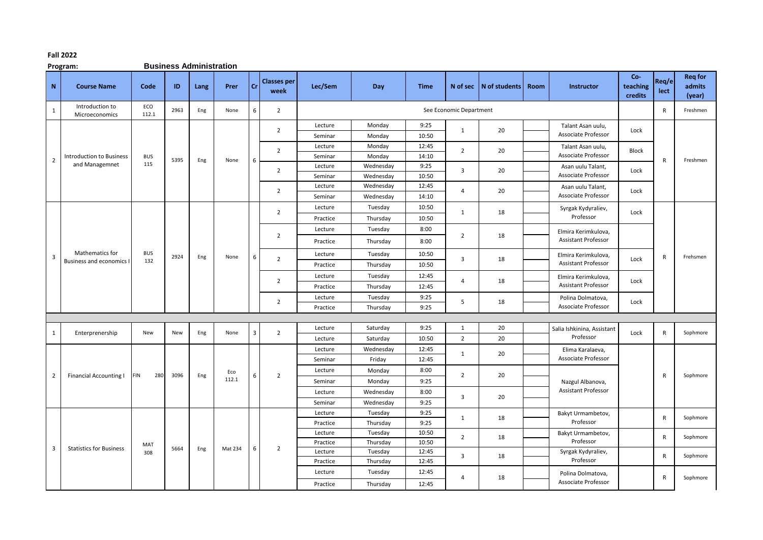## **Fall 2022**

**Program: Business Administration**

| $\mathbf N$    | <b>Course Name</b>                        | Code              | ID   | Lang | Prer    | <b>Cr</b> | <b>Classes per</b><br>week | Lec/Sem            | Day                 | <b>Time</b>    |                         | N of sec $ N$ of students | Room | Instructor                                        | Co-<br>teaching<br>credits | Reg/e<br>lect | <b>Req for</b><br>admits<br>(year) |
|----------------|-------------------------------------------|-------------------|------|------|---------|-----------|----------------------------|--------------------|---------------------|----------------|-------------------------|---------------------------|------|---------------------------------------------------|----------------------------|---------------|------------------------------------|
| $\mathbf{1}$   | Introduction to<br>Microeconomics         | ECO<br>112.1      | 2963 | Eng  | None    | 6         | $\overline{2}$             |                    |                     |                | See Economic Department |                           |      |                                                   |                            | R             | Freshmen                           |
|                |                                           |                   |      |      |         |           | $\overline{2}$             | Lecture            | Monday              | 9:25           | $\mathbf{1}$            | 20                        |      | Talant Asan uulu,<br><b>Associate Professor</b>   | Lock                       |               |                                    |
|                |                                           |                   |      |      |         |           |                            | Seminar            | Monday              | 10:50          |                         |                           |      |                                                   |                            |               |                                    |
|                | <b>Introduction to Business</b>           |                   |      |      |         |           | $\overline{2}$             | Lecture            | Monday              | 12:45<br>14:10 | $\overline{2}$          | 20                        |      | Talant Asan uulu,<br>Associate Professor          | <b>Block</b>               |               |                                    |
| $\overline{2}$ | and Managemnet                            | <b>BUS</b><br>115 | 5395 | Eng  | None    | 6         |                            | Seminar<br>Lecture | Monday<br>Wednesday | 9:25           |                         |                           |      |                                                   |                            | R             | Freshmen                           |
|                |                                           |                   |      |      |         |           | 2                          | Seminar            | Wednesday           | 10:50          | 3                       | 20                        |      | Asan uulu Talant,<br>Associate Professor          | Lock                       |               |                                    |
|                |                                           |                   |      |      |         |           |                            | Lecture            | Wednesday           | 12:45          |                         |                           |      | Asan uulu Talant,                                 |                            |               |                                    |
|                |                                           |                   |      |      |         |           | $\overline{2}$             | Seminar            | Wednesday           | 14:10          | $\overline{4}$          | 20                        |      | <b>Associate Professor</b>                        | Lock                       |               |                                    |
|                |                                           |                   |      |      |         |           |                            | Lecture            | Tuesday             | 10:50          |                         |                           |      |                                                   |                            |               |                                    |
|                |                                           |                   |      |      |         |           | $\overline{2}$             | Practice           | Thursday            | 10:50          | $\mathbf{1}$            | 18                        |      | Syrgak Kydyraliev,<br>Professor                   | Lock                       |               |                                    |
|                | Mathematics for<br>Business and economics |                   |      |      |         |           |                            | Lecture            | Tuesday             | 8:00           |                         | 18                        |      | Elmira Kerimkulova,<br><b>Assistant Professor</b> |                            |               |                                    |
|                |                                           |                   |      |      |         |           | $\overline{2}$             |                    |                     |                | $\overline{2}$          |                           |      |                                                   |                            |               |                                    |
|                |                                           |                   |      |      | None    |           |                            | Practice           | Thursday            | 8:00           |                         |                           |      |                                                   |                            |               |                                    |
| 3              |                                           | <b>BUS</b><br>132 | 2924 | Eng  |         | 6         | $\overline{2}$             | Lecture            | Tuesday             | 10:50          | 3                       | 18                        |      | Elmira Kerimkulova,                               | Lock                       | $\mathsf{R}$  | Frehsmen                           |
|                |                                           |                   |      |      |         |           |                            | Practice           | Thursday            | 10:50          |                         |                           |      | <b>Assistant Professor</b>                        |                            |               |                                    |
|                |                                           |                   |      |      |         |           | 2                          | Lecture            | Tuesday             | 12:45          | 4                       | 18                        |      | Elmira Kerimkulova,                               | Lock                       |               |                                    |
|                |                                           |                   |      |      |         |           |                            | Practice           | Thursday            | 12:45          |                         |                           |      | <b>Assistant Professor</b>                        |                            |               |                                    |
|                |                                           |                   |      |      |         |           | $\overline{2}$             | Lecture            | Tuesday             | 9:25           | 5                       | 18                        |      | Polina Dolmatova,                                 | Lock                       |               |                                    |
|                |                                           |                   |      |      |         |           |                            | Practice           | Thursday            | 9:25           |                         |                           |      | <b>Associate Professor</b>                        |                            |               |                                    |
|                |                                           |                   |      |      |         |           |                            |                    |                     |                |                         |                           |      |                                                   |                            |               |                                    |
| 1              | Enterprenership                           | New               | New  | Eng  | None    | 3         | $\overline{2}$             | Lecture            | Saturday            | 9:25           | $\mathbf{1}$            | 20                        |      | Salia Ishkinina, Assistant                        | Lock                       | $\mathsf{R}$  | Sophmore                           |
|                |                                           |                   |      |      |         |           |                            | Lecture            | Saturday            | 10:50          | $\overline{2}$          | 20                        |      | Professor                                         |                            |               |                                    |
|                |                                           |                   |      |      |         |           |                            | Lecture            | Wednesday           | 12:45          | $\mathbf{1}$            | 20                        |      | Elima Karalaeva,                                  |                            |               | Sophmore                           |
|                |                                           |                   |      |      |         |           |                            | Seminar            | Friday              | 12:45          |                         |                           |      | <b>Associate Professor</b>                        |                            |               |                                    |
| 2              | <b>Financial Accounting I</b>             | <b>FIN</b><br>280 | 3096 | Eng  | Eco     | 6         | $\overline{2}$             | Lecture            | Monday              | 8:00           | $\overline{2}$          | 20                        |      |                                                   |                            | $\mathsf{R}$  |                                    |
|                |                                           |                   |      |      | 112.1   |           |                            | Seminar            | Monday              | 9:25           |                         |                           |      | Nazgul Albanova,                                  |                            |               |                                    |
|                |                                           |                   |      |      |         |           |                            | Lecture            | Wednesday           | 8:00           | 3                       | 20                        |      | Assistant Professor                               |                            |               |                                    |
|                |                                           |                   |      |      |         |           |                            | Seminar            | Wednesday           | 9:25           |                         |                           |      |                                                   |                            |               |                                    |
|                |                                           |                   |      |      |         |           |                            | Lecture            | Tuesday             | 9:25           | 1                       | 18                        |      | Bakyt Urmambetov,                                 |                            | R             | Sophmore                           |
|                |                                           |                   |      |      |         |           |                            | Practice           | Thursday            | 9:25           |                         |                           |      | Professor                                         |                            |               |                                    |
|                |                                           |                   |      |      |         |           |                            | Lecture            | Tuesday             | 10:50          | $\overline{2}$          | 18                        |      | Bakyt Urmambetov,                                 |                            | $\mathsf{R}$  | Sophmore                           |
| 3              |                                           | MAT               | 5664 | Eng  | Mat 234 | 6         | $\overline{2}$             | Practice           | Thursday            | 10:50          |                         |                           |      | Professor                                         |                            |               |                                    |
|                | <b>Statistics for Business</b>            | 308               |      |      |         |           |                            | Lecture            | Tuesday             | 12:45          | 3                       | 18                        |      | Syrgak Kydyraliev,                                |                            | R             | Sophmore                           |
|                |                                           |                   |      |      |         |           |                            | Practice           | Thursday            | 12:45          |                         |                           |      | Professor                                         |                            |               |                                    |
|                |                                           |                   |      |      |         |           |                            | Lecture            | Tuesday             | 12:45          | $\overline{4}$          | 18                        |      | Polina Dolmatova,<br>Associate Professor          |                            | R             | Sophmore                           |
|                |                                           |                   |      |      |         |           |                            | Practice           | Thursday            | 12:45          |                         |                           |      |                                                   |                            |               |                                    |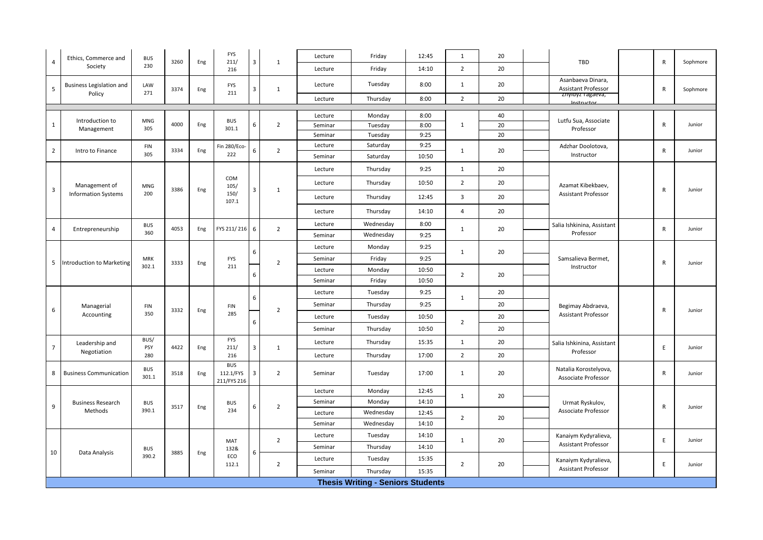| $\overline{4}$ | Ethics, Commerce and            | <b>BUS</b>          | 3260 | Eng | <b>FYS</b><br>211/                     | 3 | $\mathbf{1}$   | Lecture | Friday                                   | 12:45 | 1              | 20 | TBD                                             | $\mathsf{R}$ | Sophmore |
|----------------|---------------------------------|---------------------|------|-----|----------------------------------------|---|----------------|---------|------------------------------------------|-------|----------------|----|-------------------------------------------------|--------------|----------|
|                | Society                         | 230                 |      |     | 216                                    |   |                | Lecture | Friday                                   | 14:10 | $\overline{2}$ | 20 |                                                 |              |          |
| 5              | <b>Business Legislation and</b> | LAW<br>271          | 3374 | Eng | <b>FYS</b><br>211                      | 3 | $\mathbf{1}$   | Lecture | Tuesday                                  | 8:00  | 1              | 20 | Asanbaeva Dinara,<br><b>Assistant Professor</b> | $\mathsf{R}$ | Sophmore |
|                | Policy                          |                     |      |     |                                        |   |                | Lecture | Thursday                                 | 8:00  | $\overline{2}$ | 20 | znyidyz Tagaeva,<br>Instructor                  |              |          |
|                |                                 |                     |      |     |                                        |   |                | Lecture | Monday                                   | 8:00  |                | 40 |                                                 |              |          |
| $\mathbf{1}$   | Introduction to                 | <b>MNG</b>          | 4000 | Eng | <b>BUS</b>                             | 6 | $\overline{2}$ | Seminar | Tuesday                                  | 8:00  | $\mathbf{1}$   | 20 | Lutfu Sua, Associate                            | $\mathsf{R}$ | Junior   |
|                | Management                      | 305                 |      |     | 301.1                                  |   |                | Seminar | Tuesday                                  | 9:25  |                | 20 | Professor                                       |              |          |
|                |                                 | <b>FIN</b>          |      |     | Fin 280/Eco-                           |   |                | Lecture | Saturday                                 | 9:25  |                |    | Adzhar Doolotova,                               |              |          |
| $\overline{2}$ | Intro to Finance                | 305                 | 3334 | Eng | 222                                    | 6 | $\overline{2}$ | Seminar | Saturday                                 | 10:50 | $\mathbf{1}$   | 20 | Instructor                                      | $\mathsf{R}$ | Junior   |
|                |                                 |                     |      |     |                                        |   |                | Lecture | Thursday                                 | 9:25  | $\mathbf{1}$   | 20 |                                                 |              |          |
| 3              | Management of                   | MNG                 | 3386 | Eng | COM<br>105/                            | 3 | $\mathbf{1}$   | Lecture | Thursday                                 | 10:50 | $\overline{2}$ | 20 | Azamat Kibekbaev,                               | R            | Junior   |
|                | <b>Information Systems</b>      | 200                 |      |     | 150/<br>107.1                          |   |                | Lecture | Thursday                                 | 12:45 | $\overline{3}$ | 20 | <b>Assistant Professor</b>                      |              |          |
|                |                                 |                     |      |     |                                        |   |                | Lecture | Thursday                                 | 14:10 | $\overline{4}$ | 20 |                                                 |              |          |
| $\overline{4}$ | Entrepreneurship                | <b>BUS</b>          | 4053 | Eng | FYS 211/216 6                          |   | $\overline{2}$ | Lecture | Wednesday                                | 8:00  | $\mathbf{1}$   | 20 | Salia Ishkinina, Assistant                      | $\mathsf{R}$ | Junior   |
|                |                                 | 360                 |      |     |                                        |   |                | Seminar | Wednesday                                | 9:25  |                |    | Professor                                       |              |          |
|                |                                 |                     |      |     |                                        | 6 |                | Lecture | Monday                                   | 9:25  | $\mathbf{1}$   | 20 |                                                 |              |          |
| 5              | Introduction to Marketing       | <b>MRK</b>          | 3333 | Eng | <b>FYS</b>                             |   | $\overline{2}$ | Seminar | Friday                                   | 9:25  |                |    | Samsalieva Bermet,                              | R            | Junior   |
|                |                                 | 302.1               |      |     | 211                                    | 6 |                | Lecture | Monday                                   | 10:50 | $\overline{2}$ | 20 | Instructor                                      |              |          |
|                |                                 |                     |      |     |                                        |   |                | Seminar | Friday                                   | 10:50 |                |    |                                                 |              |          |
|                | Managerial<br>Accounting        |                     | 3332 | Eng |                                        | 6 |                | Lecture | Tuesday                                  | 9:25  | $\mathbf{1}$   | 20 |                                                 |              |          |
| 6              |                                 | <b>FIN</b>          |      |     | <b>FIN</b>                             |   | $\overline{2}$ | Seminar | Thursday                                 | 9:25  |                | 20 | Begimay Abdraeva,                               | $\mathsf R$  | Junior   |
|                |                                 | 350                 |      |     | 285                                    | 6 |                | Lecture | Tuesday                                  | 10:50 | $\overline{2}$ | 20 | Assistant Professor                             |              |          |
|                |                                 |                     |      |     |                                        |   |                | Seminar | Thursday                                 | 10:50 |                | 20 |                                                 |              |          |
| $\overline{7}$ | Leadership and                  | BUS/<br>PSY         | 4422 | Eng | <b>FYS</b><br>211/                     | 3 | $\mathbf{1}$   | Lecture | Thursday                                 | 15:35 | 1              | 20 | Salia Ishkinina, Assistant                      | E            | Junior   |
|                | Negotiation                     | 280                 |      |     | 216                                    |   |                | Lecture | Thursday                                 | 17:00 | $\overline{2}$ | 20 | Professor                                       |              |          |
| 8              | <b>Business Communication</b>   | <b>BUS</b><br>301.1 | 3518 | Eng | <b>BUS</b><br>112.1/FYS<br>211/FYS 216 | 3 | $\overline{2}$ | Seminar | Tuesday                                  | 17:00 | 1              | 20 | Natalia Korostelyova,<br>Associate Professor    | R            | Junior   |
|                |                                 |                     |      |     |                                        |   |                | Lecture | Monday                                   | 12:45 | $\mathbf{1}$   | 20 |                                                 |              |          |
| 9              | <b>Business Research</b>        | <b>BUS</b>          | 3517 | Eng | <b>BUS</b>                             | 6 | $\overline{2}$ | Seminar | Monday                                   | 14:10 |                |    | Urmat Ryskulov,                                 | $\mathsf{R}$ | Junior   |
|                | Methods                         | 390.1               |      |     | 234                                    |   |                | Lecture | Wednesday                                | 12:45 | $\overline{2}$ | 20 | <b>Associate Professor</b>                      |              |          |
|                |                                 |                     |      |     |                                        |   |                | Seminar | Wednesday                                | 14:10 |                |    |                                                 |              |          |
|                |                                 |                     |      |     |                                        |   | $\overline{2}$ | Lecture | Tuesday                                  | 14:10 | $\mathbf{1}$   | 20 | Kanaiym Kydyralieva,                            | E            | Junior   |
|                |                                 | <b>BUS</b>          |      |     | MAT<br>132&                            |   |                | Seminar | Thursday                                 | 14:10 |                |    | Assistant Professor                             |              |          |
| 10             | Data Analysis                   | 390.2               | 3885 | Eng | ECO<br>112.1                           | 6 | $\overline{2}$ | Lecture | Tuesday                                  | 15:35 | $\overline{2}$ | 20 | Kanaiym Kydyralieva,                            | E            | Junior   |
|                |                                 |                     |      |     |                                        |   |                | Seminar | Thursday                                 | 15:35 |                |    | <b>Assistant Professor</b>                      |              |          |
|                |                                 |                     |      |     |                                        |   |                |         | <b>Thesis Writing - Seniors Students</b> |       |                |    |                                                 |              |          |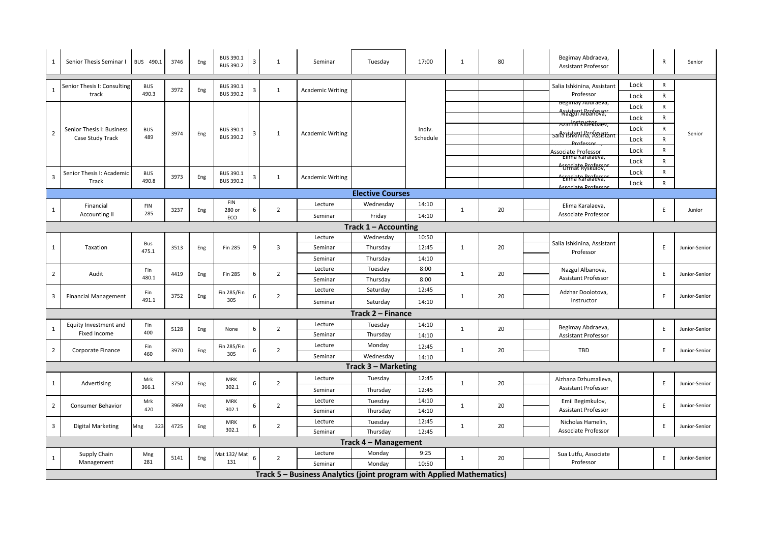| 1              | Senior Thesis Seminar I               | BUS 490.1            | 3746 | Eng | BUS 390.1<br><b>BUS 390.2</b> | 3 | $\mathbf{1}$   | Seminar                                                               | Tuesday              | 17:00    | $\mathbf{1}$ | 80               | Begimay Abdraeva,<br><b>Assistant Professor</b>         |      | $\mathsf{R}$ | Senior        |
|----------------|---------------------------------------|----------------------|------|-----|-------------------------------|---|----------------|-----------------------------------------------------------------------|----------------------|----------|--------------|------------------|---------------------------------------------------------|------|--------------|---------------|
|                | Senior Thesis I: Consulting           | <b>BUS</b>           |      |     | BUS 390.1                     |   |                |                                                                       |                      |          |              |                  | Salia Ishkinina, Assistant                              | Lock | R            |               |
| $\mathbf{1}$   | track                                 | 490.3                | 3972 | Eng | BUS 390.2                     | 3 | $\mathbf{1}$   | <b>Academic Writing</b>                                               |                      |          |              |                  | Professor                                               | Lock | $\mathsf{R}$ |               |
|                |                                       |                      |      |     |                               |   |                |                                                                       |                      |          |              |                  | Begimay Abdraeva,                                       | Lock | $\mathsf{R}$ |               |
|                |                                       |                      |      |     |                               |   |                |                                                                       |                      |          |              |                  | Assistant <mark>Brafessor</mark>                        |      |              |               |
|                |                                       |                      |      |     |                               |   |                |                                                                       |                      |          |              |                  | Azamat KIbeRbaev,                                       | Lock | $\mathsf{R}$ |               |
| $\overline{2}$ | Senior Thesis I: Business             | <b>BUS</b><br>489    | 3974 | Eng | <b>BUS 390.1</b>              | 3 | $\mathbf{1}$   | <b>Academic Writing</b>                                               |                      | Indiv.   |              |                  | saila fishkining, Assistant                             | Lock | $\mathsf{R}$ | Senior        |
|                | Case Study Track                      |                      |      |     | BUS 390.2                     |   |                |                                                                       |                      | Schedule |              |                  | <b>Professor</b>                                        | Lock | $\mathsf{R}$ |               |
|                |                                       |                      |      |     |                               |   |                |                                                                       |                      |          |              |                  | Associate Professor<br>Elima Karaiaeva,                 | Lock | $\mathsf R$  |               |
|                |                                       |                      |      |     |                               |   |                |                                                                       |                      |          |              |                  | <del>`UPRiatR&amp;Ruff8S"</del>                         | Lock | $\mathsf{R}$ |               |
| 3              | Senior Thesis I: Academic             | <b>BUS</b>           | 3973 | Eng | BUS 390.1                     | 3 | $\mathbf{1}$   | <b>Academic Writing</b>                                               |                      |          |              |                  |                                                         | Lock | $\mathsf{R}$ |               |
|                | Track                                 | 490.8                |      |     | <b>BUS 390.2</b>              |   |                |                                                                       |                      |          |              |                  | ' <del>Eimia kaProfeva;</del><br><b>Locaciato Drafa</b> | Lock | $\mathsf{R}$ |               |
|                | <b>Elective Courses</b>               |                      |      |     |                               |   |                |                                                                       |                      |          |              |                  |                                                         |      |              |               |
|                | Financial                             | FIN                  |      |     | <b>FIN</b>                    |   |                | Lecture                                                               | Wednesday            | 14:10    |              |                  | Elima Karalaeva,                                        |      |              |               |
| 1              | <b>Accounting II</b>                  | 285                  | 3237 | Eng | 280 or<br>ECO                 | 6 | $\overline{2}$ | Seminar                                                               | Friday               | 14:10    | $\mathbf{1}$ | 20               | Associate Professor                                     |      | E            | Junior        |
|                | Track $1 -$ Accounting                |                      |      |     |                               |   |                |                                                                       |                      |          |              |                  |                                                         |      |              |               |
|                |                                       |                      |      |     |                               |   |                | Lecture                                                               | Wednesday            | 10:50    |              |                  |                                                         |      |              |               |
| 1              | Taxation                              | Bus                  | 3513 | Eng | <b>Fin 285</b>                | 9 | 3              | Seminar                                                               | Thursday             | 12:45    | $\mathbf{1}$ | 20               | Salia Ishkinina, Assistant                              |      | E            | Junior-Senior |
|                |                                       | 475.1                |      |     |                               |   |                | Seminar                                                               | Thursday             | 14:10    |              |                  | Professor                                               |      |              |               |
|                | Fin<br>Audit<br>480.1                 |                      |      |     |                               |   | Lecture        | Tuesday                                                               | 8:00                 |          |              | Nazgul Albanova, |                                                         |      |              |               |
| $\overline{2}$ |                                       |                      | 4419 | Eng | <b>Fin 285</b>                | 6 | $\overline{2}$ | Seminar                                                               | Thursday             | 8:00     | $\mathbf{1}$ | 20               | <b>Assistant Professor</b>                              |      | E            | Junior-Senior |
|                |                                       | Fin<br>3752<br>491.1 |      |     | <b>Fin 285/Fin</b>            |   |                | Lecture                                                               | Saturday             | 12:45    |              |                  | Adzhar Doolotova,                                       |      |              |               |
| 3              | <b>Financial Management</b>           |                      |      | Eng | 305                           | 6 | $\overline{2}$ | Seminar                                                               | Saturday             | 14:10    | 1            | 20               | Instructor                                              |      | E            | Junior-Senior |
|                |                                       |                      |      |     |                               |   |                |                                                                       | Track 2 - Finance    |          |              |                  |                                                         |      |              |               |
|                |                                       |                      |      |     |                               |   |                | Lecture                                                               |                      |          |              |                  |                                                         |      |              |               |
| 1              | Equity Investment and<br>Fixed Income | Fin<br>400           | 5128 | Eng | None                          | 6 | $\overline{2}$ | Seminar                                                               | Tuesday<br>Thursday  | 14:10    | $\mathbf{1}$ | 20               | Begimay Abdraeva,                                       |      | E            | Junior-Senior |
|                |                                       |                      |      |     |                               |   |                |                                                                       |                      | 14:10    |              |                  | <b>Assistant Professor</b>                              |      |              |               |
| $\overline{2}$ | Corporate Finance                     | Fin<br>460           | 3970 | Eng | <b>Fin 285/Fin</b><br>305     | 6 | $\overline{2}$ | Lecture                                                               | Monday               | 12:45    | $\mathbf{1}$ | 20               | TBD                                                     |      | E            | Junior-Senior |
|                |                                       |                      |      |     |                               |   |                | Seminar                                                               | Wednesday            | 14:10    |              |                  |                                                         |      |              |               |
|                |                                       |                      |      |     |                               |   |                |                                                                       | Track 3 - Marketing  |          |              |                  |                                                         |      |              |               |
| 1              | Advertising                           | Mrk                  | 3750 | Eng | <b>MRK</b>                    | 6 | $\overline{2}$ | Lecture                                                               | Tuesday              | 12:45    | $\mathbf{1}$ | 20               | Aizhana Dzhumalieva,                                    |      | E            | Junior-Senior |
|                |                                       | 366.1                |      |     | 302.1                         |   |                | Seminar                                                               | Thursday             | 12:45    |              |                  | <b>Assistant Professor</b>                              |      |              |               |
| $\overline{2}$ | <b>Consumer Behavior</b>              | Mrk                  | 3969 | Eng | MRK                           |   | $\overline{2}$ | Lecture                                                               | Tuesday              | 14:10    | $\mathbf{1}$ | 20               | Emil Begimkulov,                                        |      | E            | Junior-Senior |
|                |                                       | 420                  |      |     | 302.1                         | 6 |                | Seminar                                                               | Thursday             | 14:10    |              |                  | <b>Assistant Professor</b>                              |      |              |               |
| 3              | Digital Marketing                     | Mng<br>323           | 4725 | Eng | <b>MRK</b>                    |   | $\overline{2}$ | Lecture                                                               | Tuesday              | 12:45    | $\mathbf{1}$ | 20               | Nicholas Hamelin,                                       |      | E            | Junior-Senior |
|                |                                       |                      |      |     | 302.1                         | 6 |                | Seminar                                                               | Thursday             | 12:45    |              |                  | Associate Professor                                     |      |              |               |
|                |                                       |                      |      |     |                               |   |                |                                                                       | Track 4 - Management |          |              |                  |                                                         |      |              |               |
|                | Supply Chain                          | Mng                  |      |     | Mat 132/ Ma                   |   |                | Lecture                                                               | Monday               | 9:25     |              |                  | Sua Lutfu, Associate                                    |      |              |               |
| 1              | Management                            | 281                  | 5141 | Eng | 131                           | 6 | $\overline{2}$ | Seminar                                                               | Monday               | 10:50    | $\mathbf{1}$ | 20               | Professor                                               |      | E            | Junior-Senior |
|                |                                       |                      |      |     |                               |   |                | Track 5 - Business Analytics (joint program with Applied Mathematics) |                      |          |              |                  |                                                         |      |              |               |